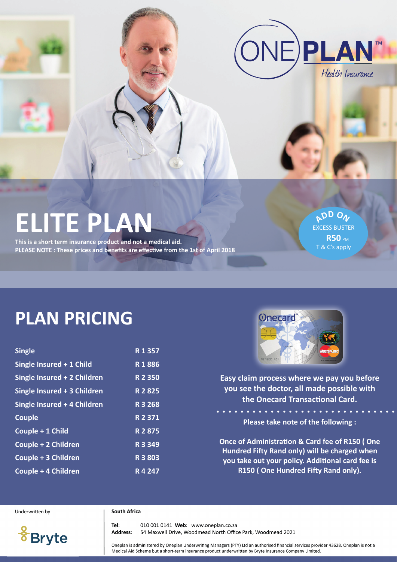

# **ELITE PLAN**

**This is a short term insurance product and not a medical aid. PLEASE NOTE : These prices and benefits are effective from the 1st of April 2018**

**<sup>A</sup>D<sup>D</sup> <sup>O</sup><sup>N</sup>** EXCESS BUSTER **R50 PM** T & C's apply

# **PLAN PRICING**

| <b>Single</b>               | R 1 357   |
|-----------------------------|-----------|
| Single Insured + 1 Child    | R1886     |
| Single Insured + 2 Children | R 2 350   |
| Single Insured + 3 Children | R 2 8 2 5 |
| Single Insured + 4 Children | R 3 268   |
| <b>Couple</b>               | R 2 371   |
| Couple + 1 Child            | R 2 875   |
| Couple + 2 Children         | R 3 3 4 9 |
| Couple + 3 Children         | R 3 803   |
| Couple + 4 Children         | R4247     |



**Easy claim process where we pay you before you see the doctor, all made possible with the Onecard Transactional Card.** 

**Please take note of the following :**

**Once of Administration & Card fee of R150 ( One Hundred Fifty Rand only) will be charged when you take out your policy. Additional card fee is R150 ( One Hundred Fifty Rand only).**

Underwritten by

#### **South Africa**

**Bryte** 

010 001 0141 Web: www.oneplan.co.za Tel: Address: 54 Maxwell Drive, Woodmead North Office Park, Woodmead 2021

Oneplan is administered by Oneplan Underwriting Managers (PTY) Ltd an authorised financial services provider 43628. Oneplan is not a Medical Aid Scheme but a short-term insurance product underwritten by Bryte Insurance Company Limited.